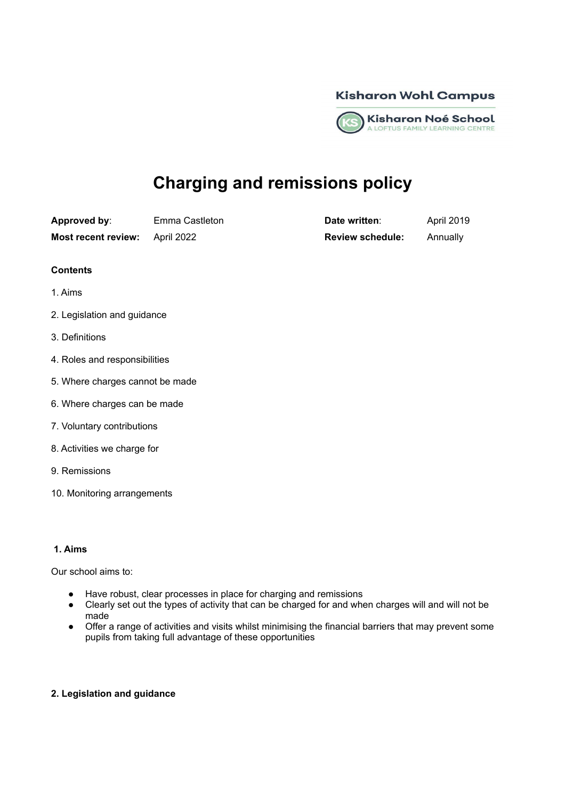



# **Charging and remissions policy**

**Approved by:** Emma Castleton **Date written**: April 2019

**Most recent review:** April 2022 **Review schedule:** Annually

- **Contents**
- 1. Aims
- 2. Legislation and guidance
- 3. Definitions
- 4. Roles and responsibilities
- 5. Where charges cannot be made
- 6. Where charges can be made
- 7. Voluntary contributions
- 8. Activities we charge for
- 9. Remissions
- 10. Monitoring arrangements

# **1. Aims**

Our school aims to:

- Have robust, clear processes in place for charging and remissions
- Clearly set out the types of activity that can be charged for and when charges will and will not be made
- Offer a range of activities and visits whilst minimising the financial barriers that may prevent some pupils from taking full advantage of these opportunities

# **2. Legislation and guidance**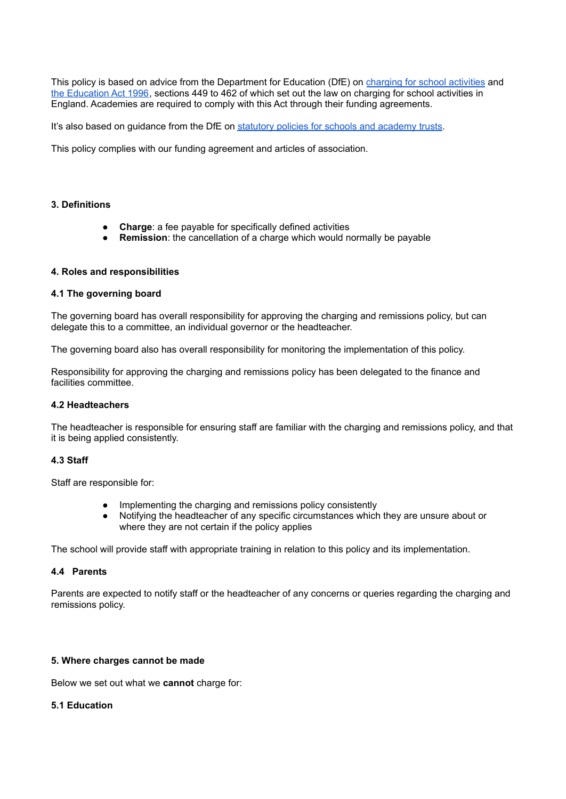This policy is based on advice from the Department for Education (DfE) on [charging](https://www.gov.uk/government/publications/charging-for-school-activities) for school activities and the [Education](http://www.legislation.gov.uk/ukpga/1996/56/part/VI/chapter/III) Act 1996, sections 449 to 462 of which set out the law on charging for school activities in England. Academies are required to comply with this Act through their funding agreements.

It's also based on quidance from the DfE on statutory policies for schools and [academy](https://www.gov.uk/government/publications/statutory-policies-for-schools-and-academy-trusts/statutory-policies-for-schools-and-academy-trusts) trusts.

This policy complies with our funding agreement and articles of association.

# **3. Definitions**

- **Charge:** a fee payable for specifically defined activities
- **Remission:** the cancellation of a charge which would normally be payable

## **4. Roles and responsibilities**

## **4.1 The governing board**

The governing board has overall responsibility for approving the charging and remissions policy, but can delegate this to a committee, an individual governor or the headteacher.

The governing board also has overall responsibility for monitoring the implementation of this policy.

Responsibility for approving the charging and remissions policy has been delegated to the finance and facilities committee.

# **4.2 Headteachers**

The headteacher is responsible for ensuring staff are familiar with the charging and remissions policy, and that it is being applied consistently.

# **4.3 Staff**

Staff are responsible for:

- Implementing the charging and remissions policy consistently
- Notifying the headteacher of any specific circumstances which they are unsure about or where they are not certain if the policy applies

The school will provide staff with appropriate training in relation to this policy and its implementation.

## **4.4 Parents**

Parents are expected to notify staff or the headteacher of any concerns or queries regarding the charging and remissions policy.

## **5. Where charges cannot be made**

Below we set out what we **cannot** charge for:

## **5.1 Education**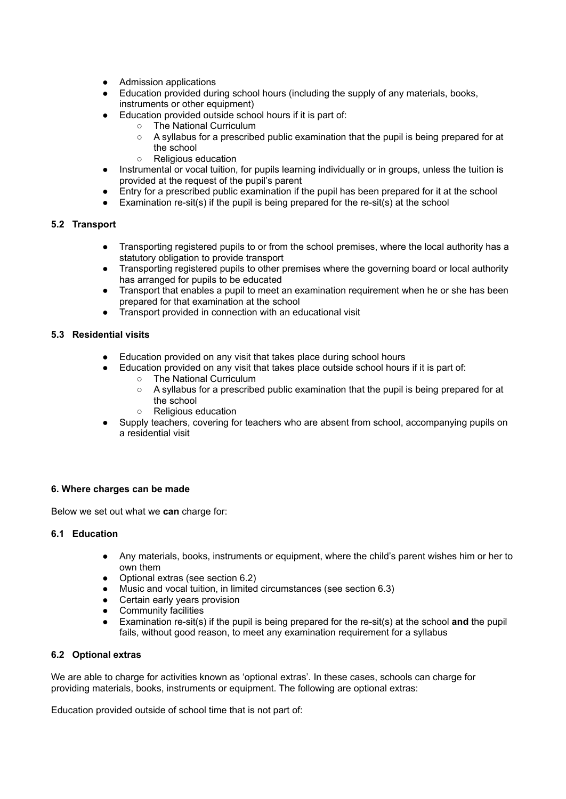- Admission applications
- Education provided during school hours (including the supply of any materials, books, instruments or other equipment)
	- Education provided outside school hours if it is part of:
		- The National Curriculum
			- A syllabus for a prescribed public examination that the pupil is being prepared for at the school
			- Religious education
- Instrumental or vocal tuition, for pupils learning individually or in groups, unless the tuition is provided at the request of the pupil's parent
- Entry for a prescribed public examination if the pupil has been prepared for it at the school
- $\bullet$  Examination re-sit(s) if the pupil is being prepared for the re-sit(s) at the school

# **5.2 Transport**

- Transporting registered pupils to or from the school premises, where the local authority has a statutory obligation to provide transport
- Transporting registered pupils to other premises where the governing board or local authority has arranged for pupils to be educated
- Transport that enables a pupil to meet an examination requirement when he or she has been prepared for that examination at the school
- Transport provided in connection with an educational visit

# **5.3 Residential visits**

- Education provided on any visit that takes place during school hours
	- Education provided on any visit that takes place outside school hours if it is part of:
		- The National Curriculum
		- A syllabus for a prescribed public examination that the pupil is being prepared for at the school
		- Religious education
- Supply teachers, covering for teachers who are absent from school, accompanying pupils on a residential visit

# **6. Where charges can be made**

Below we set out what we **can** charge for:

# **6.1 Education**

- Any materials, books, instruments or equipment, where the child's parent wishes him or her to own them
- Optional extras (see section 6.2)
- Music and vocal tuition, in limited circumstances (see section 6.3)
- Certain early years provision
- Community facilities
- Examination re-sit(s) if the pupil is being prepared for the re-sit(s) at the school and the pupil fails, without good reason, to meet any examination requirement for a syllabus

# **6.2 Optional extras**

We are able to charge for activities known as 'optional extras'. In these cases, schools can charge for providing materials, books, instruments or equipment. The following are optional extras:

Education provided outside of school time that is not part of: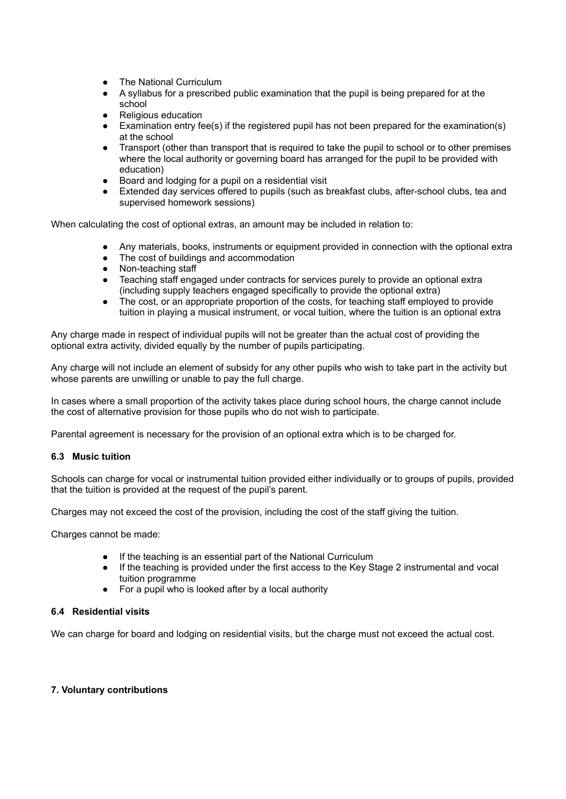- The National Curriculum
- A syllabus for a prescribed public examination that the pupil is being prepared for at the school
- Religious education
- Examination entry fee(s) if the registered pupil has not been prepared for the examination(s) at the school
- Transport (other than transport that is required to take the pupil to school or to other premises where the local authority or governing board has arranged for the pupil to be provided with education)
- Board and lodging for a pupil on a residential visit
- Extended day services offered to pupils (such as breakfast clubs, after-school clubs, tea and supervised homework sessions)

When calculating the cost of optional extras, an amount may be included in relation to:

- Any materials, books, instruments or equipment provided in connection with the optional extra
- The cost of buildings and accommodation
- Non-teaching staff
- Teaching staff engaged under contracts for services purely to provide an optional extra (including supply teachers engaged specifically to provide the optional extra)
- The cost, or an appropriate proportion of the costs, for teaching staff employed to provide tuition in playing a musical instrument, or vocal tuition, where the tuition is an optional extra

Any charge made in respect of individual pupils will not be greater than the actual cost of providing the optional extra activity, divided equally by the number of pupils participating.

Any charge will not include an element of subsidy for any other pupils who wish to take part in the activity but whose parents are unwilling or unable to pay the full charge.

In cases where a small proportion of the activity takes place during school hours, the charge cannot include the cost of alternative provision for those pupils who do not wish to participate.

Parental agreement is necessary for the provision of an optional extra which is to be charged for.

## **6.3 Music tuition**

Schools can charge for vocal or instrumental tuition provided either individually or to groups of pupils, provided that the tuition is provided at the request of the pupil's parent.

Charges may not exceed the cost of the provision, including the cost of the staff giving the tuition.

Charges cannot be made:

- If the teaching is an essential part of the National Curriculum
- If the teaching is provided under the first access to the Key Stage 2 instrumental and vocal tuition programme
- For a pupil who is looked after by a local authority

## **6.4 Residential visits**

We can charge for board and lodging on residential visits, but the charge must not exceed the actual cost.

# **7. Voluntary contributions**